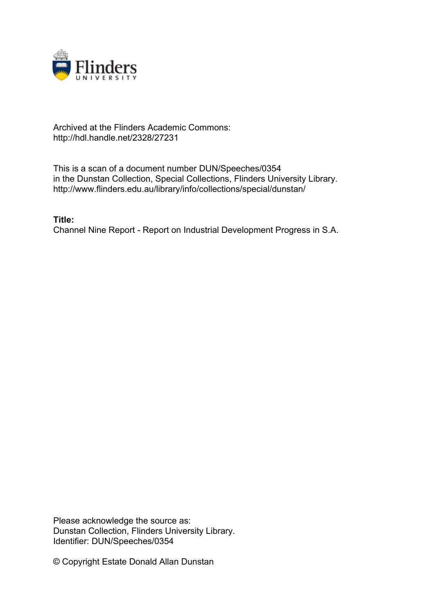

## Archived at the Flinders Academic Commons: http://hdl.handle.net/2328/27231

This is a scan of a document number DUN/Speeches/0354 in the Dunstan Collection, Special Collections, Flinders University Library. http://www.flinders.edu.au/library/info/collections/special/dunstan/

**Title:** Channel Nine Report - Report on Industrial Development Progress in S.A.

Please acknowledge the source as: Dunstan Collection, Flinders University Library. Identifier: DUN/Speeches/0354

© Copyright Estate Donald Allan Dunstan